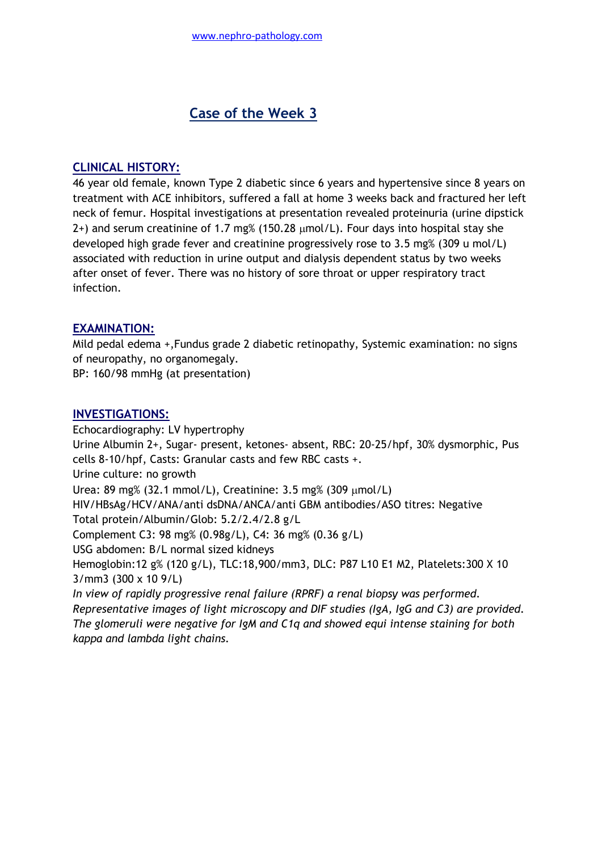# **Case of the Week 3**

## **CLINICAL HISTORY:**

46 year old female, known Type 2 diabetic since 6 years and hypertensive since 8 years on treatment with ACE inhibitors, suffered a fall at home 3 weeks back and fractured her left neck of femur. Hospital investigations at presentation revealed proteinuria (urine dipstick 2+) and serum creatinine of 1.7 mg% (150.28  $\mu$ mol/L). Four days into hospital stay she developed high grade fever and creatinine progressively rose to 3.5 mg% (309 u mol/L) associated with reduction in urine output and dialysis dependent status by two weeks after onset of fever. There was no history of sore throat or upper respiratory tract infection.

## **EXAMINATION:**

Mild pedal edema +,Fundus grade 2 diabetic retinopathy, Systemic examination: no signs of neuropathy, no organomegaly.

BP: 160/98 mmHg (at presentation)

### **INVESTIGATIONS:**

Echocardiography: LV hypertrophy Urine Albumin 2+, Sugar- present, ketones- absent, RBC: 20-25/hpf, 30% dysmorphic, Pus cells 8-10/hpf, Casts: Granular casts and few RBC casts +. Urine culture: no growth Urea: 89 mg% (32.1 mmol/L), Creatinine:  $3.5 \text{ mg}$ % (309  $\mu$ mol/L) HIV/HBsAg/HCV/ANA/anti dsDNA/ANCA/anti GBM antibodies/ASO titres: Negative Total protein/Albumin/Glob: 5.2/2.4/2.8 g/L Complement C3: 98 mg% (0.98g/L), C4: 36 mg% (0.36 g/L) USG abdomen: B/L normal sized kidneys Hemoglobin:12 g% (120 g/L), TLC:18,900/mm3, DLC: P87 L10 E1 M2, Platelets:300 X 10 3/mm3 (300 x 10 9/L) *In view of rapidly progressive renal failure (RPRF) a renal biopsy was performed. Representative images of light microscopy and DIF studies (IgA, IgG and C3) are provided. The glomeruli were negative for IgM and C1q and showed equi intense staining for both kappa and lambda light chains.*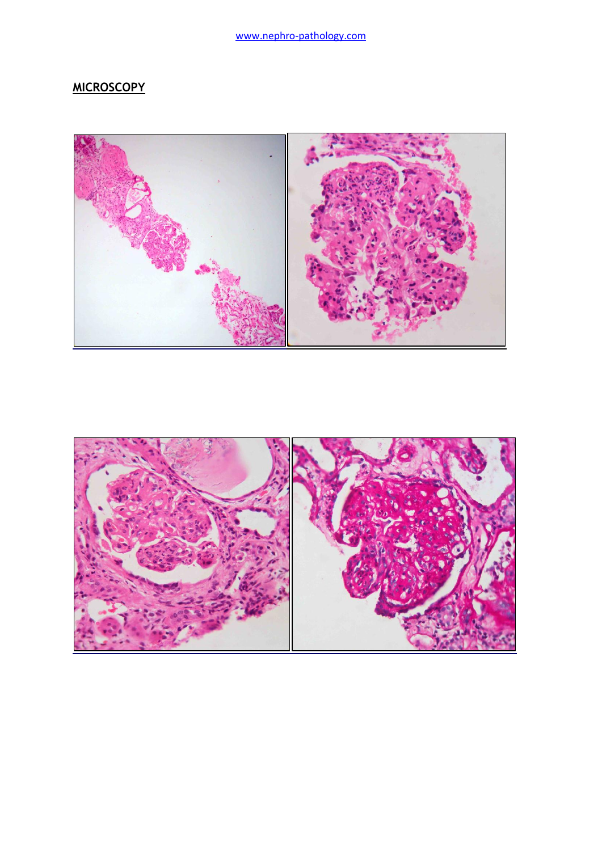# **MICROSCOPY**



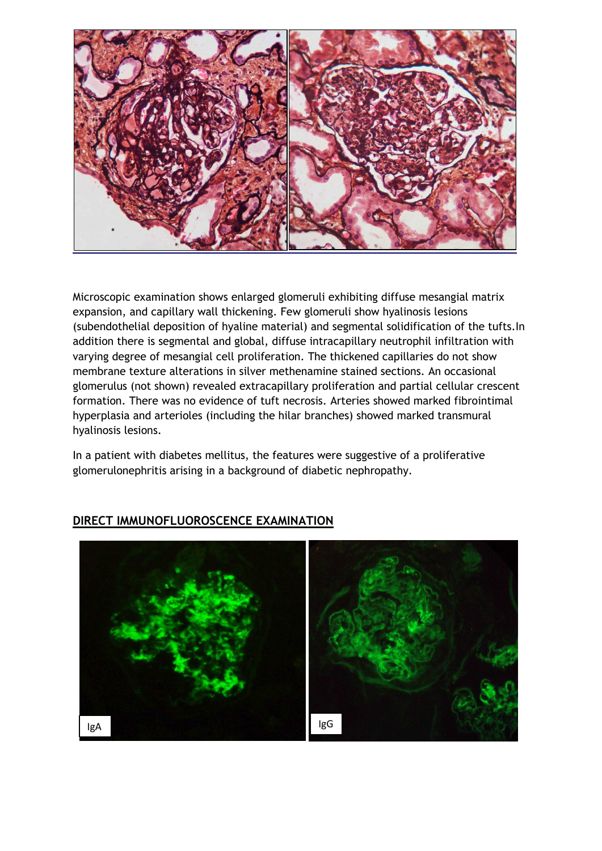

Microscopic examination shows enlarged glomeruli exhibiting diffuse mesangial matrix expansion, and capillary wall thickening. Few glomeruli show hyalinosis lesions (subendothelial deposition of hyaline material) and segmental solidification of the tufts.In addition there is segmental and global, diffuse intracapillary neutrophil infiltration with varying degree of mesangial cell proliferation. The thickened capillaries do not show membrane texture alterations in silver methenamine stained sections. An occasional glomerulus (not shown) revealed extracapillary proliferation and partial cellular crescent formation. There was no evidence of tuft necrosis. Arteries showed marked fibrointimal hyperplasia and arterioles (including the hilar branches) showed marked transmural hyalinosis lesions.

In a patient with diabetes mellitus, the features were suggestive of a proliferative glomerulonephritis arising in a background of diabetic nephropathy.



## **DIRECT IMMUNOFLUOROSCENCE EXAMINATION**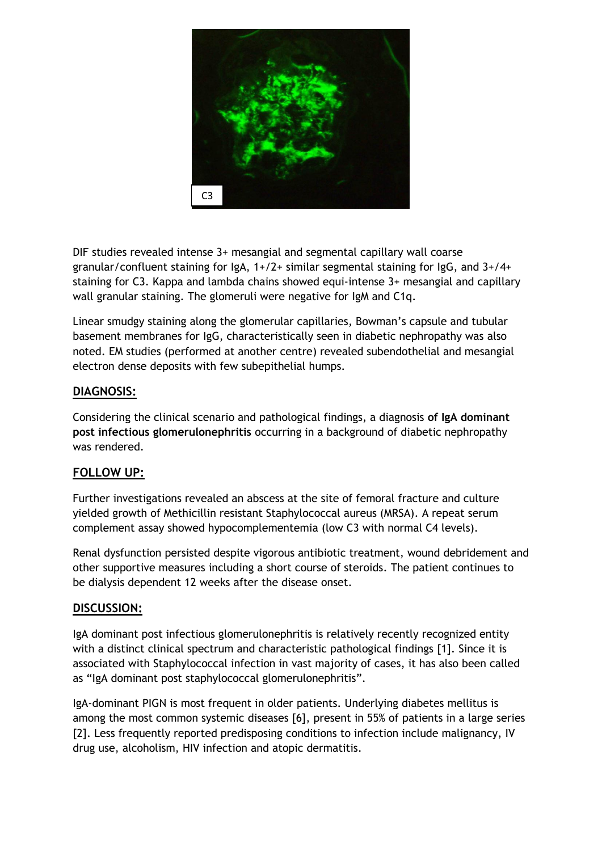

DIF studies revealed intense 3+ mesangial and segmental capillary wall coarse granular/confluent staining for  $IgA$ ,  $1+/2+$  similar segmental staining for  $IgG$ , and  $3+/4+$ staining for C3. Kappa and lambda chains showed equi-intense 3+ mesangial and capillary wall granular staining. The glomeruli were negative for IgM and C1q.

Linear smudgy staining along the glomerular capillaries, Bowman"s capsule and tubular basement membranes for IgG, characteristically seen in diabetic nephropathy was also noted. EM studies (performed at another centre) revealed subendothelial and mesangial electron dense deposits with few subepithelial humps.

## **DIAGNOSIS:**

Considering the clinical scenario and pathological findings, a diagnosis **of IgA dominant post infectious glomerulonephritis** occurring in a background of diabetic nephropathy was rendered.

### **FOLLOW UP:**

Further investigations revealed an abscess at the site of femoral fracture and culture yielded growth of Methicillin resistant Staphylococcal aureus (MRSA). A repeat serum complement assay showed hypocomplementemia (low C3 with normal C4 levels).

Renal dysfunction persisted despite vigorous antibiotic treatment, wound debridement and other supportive measures including a short course of steroids. The patient continues to be dialysis dependent 12 weeks after the disease onset.

### **DISCUSSION:**

IgA dominant post infectious glomerulonephritis is relatively recently recognized entity with a distinct clinical spectrum and characteristic pathological findings [1]. Since it is associated with Staphylococcal infection in vast majority of cases, it has also been called as "IgA dominant post staphylococcal glomerulonephritis".

IgA-dominant PIGN is most frequent in older patients. Underlying diabetes mellitus is among the most common systemic diseases [6], present in 55% of patients in a large series [2]. Less frequently reported predisposing conditions to infection include malignancy, IV drug use, alcoholism, HIV infection and atopic dermatitis.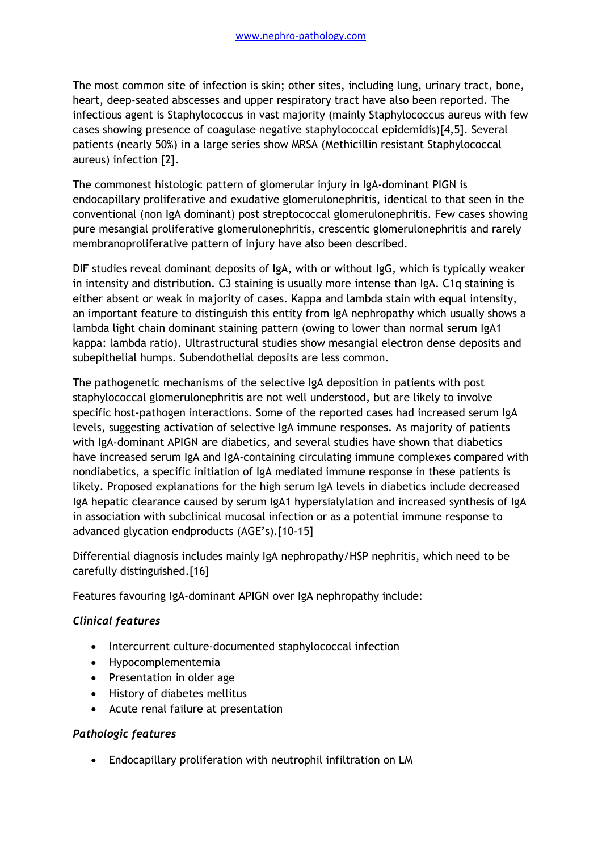The most common site of infection is skin; other sites, including lung, urinary tract, bone, heart, deep-seated abscesses and upper respiratory tract have also been reported. The infectious agent is Staphylococcus in vast majority (mainly Staphylococcus aureus with few cases showing presence of coagulase negative staphylococcal epidemidis)[4,5]. Several patients (nearly 50%) in a large series show MRSA (Methicillin resistant Staphylococcal aureus) infection [2].

The commonest histologic pattern of glomerular injury in IgA-dominant PIGN is endocapillary proliferative and exudative glomerulonephritis, identical to that seen in the conventional (non IgA dominant) post streptococcal glomerulonephritis. Few cases showing pure mesangial proliferative glomerulonephritis, crescentic glomerulonephritis and rarely membranoproliferative pattern of injury have also been described.

DIF studies reveal dominant deposits of IgA, with or without IgG, which is typically weaker in intensity and distribution. C3 staining is usually more intense than IgA. C1q staining is either absent or weak in majority of cases. Kappa and lambda stain with equal intensity, an important feature to distinguish this entity from IgA nephropathy which usually shows a lambda light chain dominant staining pattern (owing to lower than normal serum IgA1 kappa: lambda ratio). Ultrastructural studies show mesangial electron dense deposits and subepithelial humps. Subendothelial deposits are less common.

The pathogenetic mechanisms of the selective IgA deposition in patients with post staphylococcal glomerulonephritis are not well understood, but are likely to involve specific host-pathogen interactions. Some of the reported cases had increased serum IgA levels, suggesting activation of selective IgA immune responses. As majority of patients with IgA-dominant APIGN are diabetics, and several studies have shown that diabetics have increased serum IgA and IgA-containing circulating immune complexes compared with nondiabetics, a specific initiation of IgA mediated immune response in these patients is likely. Proposed explanations for the high serum IgA levels in diabetics include decreased IgA hepatic clearance caused by serum IgA1 hypersialylation and increased synthesis of IgA in association with subclinical mucosal infection or as a potential immune response to advanced glycation endproducts (AGE's).[10-15]

Differential diagnosis includes mainly IgA nephropathy/HSP nephritis, which need to be carefully distinguished.[16]

Features favouring IgA-dominant APIGN over IgA nephropathy include:

#### *Clinical features*

- Intercurrent culture-documented staphylococcal infection
- Hypocomplementemia
- Presentation in older age
- History of diabetes mellitus
- Acute renal failure at presentation

#### *Pathologic features*

Endocapillary proliferation with neutrophil infiltration on LM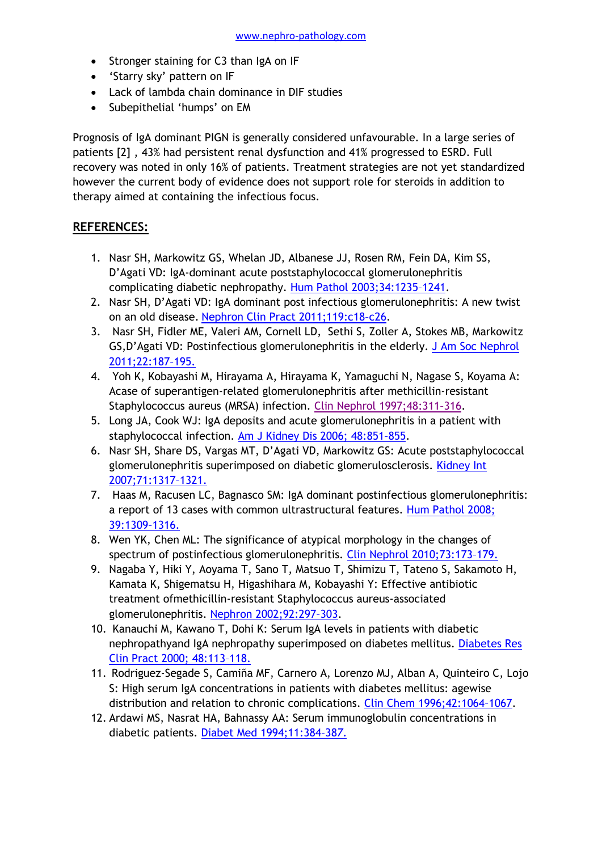- Stronger staining for C3 than IgA on IF
- 'Starry sky' pattern on IF
- Lack of lambda chain dominance in DIF studies
- Subepithelial 'humps' on EM

Prognosis of IgA dominant PIGN is generally considered unfavourable. In a large series of patients [2] , 43% had persistent renal dysfunction and 41% progressed to ESRD. Full recovery was noted in only 16% of patients. Treatment strategies are not yet standardized however the current body of evidence does not support role for steroids in addition to therapy aimed at containing the infectious focus.

## **REFERENCES:**

- 1. Nasr SH, Markowitz GS, Whelan JD, Albanese JJ, Rosen RM, Fein DA, Kim SS, D"Agati VD: IgA-dominant acute poststaphylococcal glomerulonephritis complicating diabetic nephropathy. [Hum Pathol 2003;34:1235](http://www.ncbi.nlm.nih.gov/pubmed/14691907)–1241.
- 2. Nasr SH, D"Agati VD: IgA dominant post infectious glomerulonephritis: A new twist on an old disease. [Nephron Clin Pract 2011;119:c18](http://content.karger.com/produktedb/produkte.asp?DOI=000324180&typ=pdf)–c26.
- 3. Nasr SH, Fidler ME, Valeri AM, Cornell LD, Sethi S, Zoller A, Stokes MB, Markowitz GS,D'Agati VD: Postinfectious glomerulonephritis in the elderly. J Am Soc Nephrol [2011;22:187](http://jasn.asnjournals.org/content/22/1/187.full.pdf+html)–195.
- 4. Yoh K, Kobayashi M, Hirayama A, Hirayama K, Yamaguchi N, Nagase S, Koyama A: Acase of superantigen-related glomerulonephritis after methicillin-resistant Staphylococcus aureus (MRSA) infection. [Clin Nephrol 1997;48:311](http://www.ncbi.nlm.nih.gov/pubmed?term=Clin%20Nephrol%201997%3B48%3A311%E2%80%93316)–316.
- 5. Long JA, Cook WJ: IgA deposits and acute glomerulonephritis in a patient with staphylococcal infection. Am J [Kidney Dis 2006; 48:851](http://www.ncbi.nlm.nih.gov/pubmed?term=Am%20J%20Kidney%20Dis%202006%3B%2048%3A851%E2%80%93855)–855.
- 6. Nasr SH, Share DS, Vargas MT, D"Agati VD, Markowitz GS: Acute poststaphylococcal glomerulonephritis superimposed on diabetic glomerulosclerosis. Kidney Int [2007;71:1317](http://www.nature.com/ki/journal/v71/n12/pdf/5002135a.pdf)–1321.
- 7. Haas M, Racusen LC, Bagnasco SM: IgA dominant postinfectious glomerulonephritis: a report of 13 cases with common ultrastructural features. Hum Pathol 2008; [39:1309](http://www.ncbi.nlm.nih.gov/pubmed?term=Hum%20Pathol%202008%3B%2039%3A1309%E2%80%931316.)–1316.
- 8. Wen YK, Chen ML: The significance of atypical morphology in the changes of spectrum of postinfectious glomerulonephritis. Clin [Nephrol 2010;73:173](http://www.ncbi.nlm.nih.gov/pubmed/20178715)–179.
- 9. Nagaba Y, Hiki Y, Aoyama T, Sano T, Matsuo T, Shimizu T, Tateno S, Sakamoto H, Kamata K, Shigematsu H, Higashihara M, Kobayashi Y: Effective antibiotic treatment ofmethicillin-resistant Staphylococcus aureus-associated glomerulonephritis. Nephron [2002;92:297](http://www.ncbi.nlm.nih.gov/pubmed/12218306)–303.
- 10. Kanauchi M, Kawano T, Dohi K: Serum IgA levels in patients with diabetic nephropathyand IgA nephropathy superimposed on diabetes mellitus. [Diabetes Res](http://www.ncbi.nlm.nih.gov/pubmed?term=Diabetes%20Res%20Clin%20Pract%202000%3B%2048%3A113%E2%80%93118.)  [Clin Pract 2000; 48:113](http://www.ncbi.nlm.nih.gov/pubmed?term=Diabetes%20Res%20Clin%20Pract%202000%3B%2048%3A113%E2%80%93118.)–118.
- 11. Rodriguez-Segade S, Camiña MF, Carnero A, Lorenzo MJ, Alban A, Quinteiro C, Lojo S: High serum IgA concentrations in patients with diabetes mellitus: agewise distribution and relation to chronic complications. [Clin Chem 1996;42:1064](http://www.clinchem.org/content/42/7/1064.long)–1067.
- 12. Ardawi MS, Nasrat HA, Bahnassy AA: Serum immunoglobulin concentrations in diabetic patients. [Diabet Med 1994;11:384](http://www.ncbi.nlm.nih.gov/pubmed?term=Diabet%20Med%201994%3B11%3A384%E2%80%93387.)–38*7*.